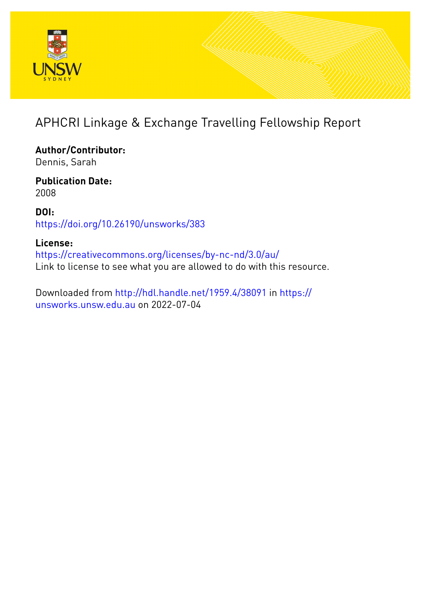

# APHCRI Linkage & Exchange Travelling Fellowship Report

**Author/Contributor:** Dennis, Sarah

**Publication Date:** 2008

**DOI:** [https://doi.org/10.26190/unsworks/383](http://dx.doi.org/https://doi.org/10.26190/unsworks/383)

### **License:**

<https://creativecommons.org/licenses/by-nc-nd/3.0/au/> Link to license to see what you are allowed to do with this resource.

Downloaded from <http://hdl.handle.net/1959.4/38091> in [https://](https://unsworks.unsw.edu.au) [unsworks.unsw.edu.au](https://unsworks.unsw.edu.au) on 2022-07-04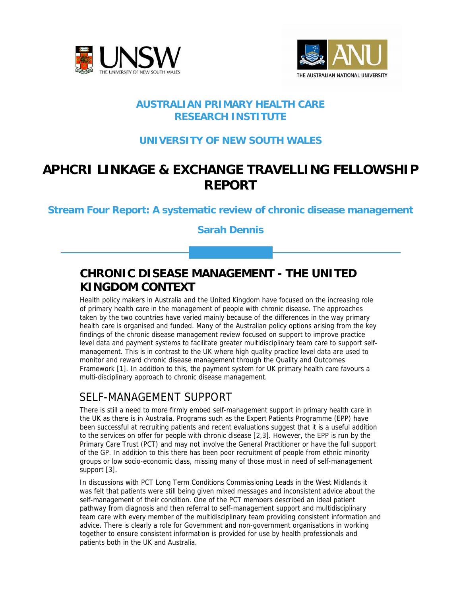



#### **AUSTRALIAN PRIMARY HEALTH CARE RESEARCH INSTITUTE**

#### **UNIVERSITY OF NEW SOUTH WALES**

# **APHCRI LINKAGE & EXCHANGE TRAVELLING FELLOWSHIP REPORT**

**Stream Four Report: A systematic review of chronic disease management** 

#### **Sarah Dennis**

### **CHRONIC DISEASE MANAGEMENT - THE UNITED KINGDOM CONTEXT**

Health policy makers in Australia and the United Kingdom have focused on the increasing role of primary health care in the management of people with chronic disease. The approaches taken by the two countries have varied mainly because of the differences in the way primary health care is organised and funded. Many of the Australian policy options arising from the key findings of the chronic disease management review focused on support to improve practice level data and payment systems to facilitate greater multidisciplinary team care to support selfmanagement. This is in contrast to the UK where high quality practice level data are used to monitor and reward chronic disease management through the Quality and Outcomes Framework [1]. In addition to this, the payment system for UK primary health care favours a multi-disciplinary approach to chronic disease management.

### SELF-MANAGEMENT SUPPORT

There is still a need to more firmly embed self-management support in primary health care in the UK as there is in Australia. Programs such as the Expert Patients Programme (EPP) have been successful at recruiting patients and recent evaluations suggest that it is a useful addition to the services on offer for people with chronic disease [2,3]. However, the EPP is run by the Primary Care Trust (PCT) and may not involve the General Practitioner or have the full support of the GP. In addition to this there has been poor recruitment of people from ethnic minority groups or low socio-economic class, missing many of those most in need of self-management support [3].

In discussions with PCT Long Term Conditions Commissioning Leads in the West Midlands it was felt that patients were still being given mixed messages and inconsistent advice about the self-management of their condition. One of the PCT members described an ideal patient pathway from diagnosis and then referral to self-management support and multidisciplinary team care with every member of the multidisciplinary team providing consistent information and advice. There is clearly a role for Government and non-government organisations in working together to ensure consistent information is provided for use by health professionals and patients both in the UK and Australia.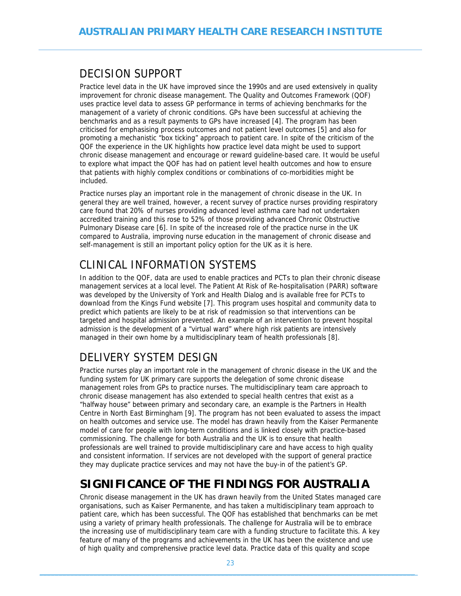### DECISION SUPPORT

Practice level data in the UK have improved since the 1990s and are used extensively in quality improvement for chronic disease management. The Quality and Outcomes Framework (QOF) uses practice level data to assess GP performance in terms of achieving benchmarks for the management of a variety of chronic conditions. GPs have been successful at achieving the benchmarks and as a result payments to GPs have increased [4]. The program has been criticised for emphasising process outcomes and not patient level outcomes [5] and also for promoting a mechanistic "box ticking" approach to patient care. In spite of the criticism of the QOF the experience in the UK highlights how practice level data might be used to support chronic disease management and encourage or reward guideline-based care. It would be useful to explore what impact the QOF has had on patient level health outcomes and how to ensure that patients with highly complex conditions or combinations of co-morbidities might be included.

Practice nurses play an important role in the management of chronic disease in the UK. In general they are well trained, however, a recent survey of practice nurses providing respiratory care found that 20% of nurses providing advanced level asthma care had not undertaken accredited training and this rose to 52% of those providing advanced Chronic Obstructive Pulmonary Disease care [6]. In spite of the increased role of the practice nurse in the UK compared to Australia, improving nurse education in the management of chronic disease and self-management is still an important policy option for the UK as it is here.

# CLINICAL INFORMATION SYSTEMS

In addition to the QOF, data are used to enable practices and PCTs to plan their chronic disease management services at a local level. The Patient At Risk of Re-hospitalisation (PARR) software was developed by the University of York and Health Dialog and is available free for PCTs to download from the Kings Fund website [7]. This program uses hospital and community data to predict which patients are likely to be at risk of readmission so that interventions can be targeted and hospital admission prevented. An example of an intervention to prevent hospital admission is the development of a "virtual ward" where high risk patients are intensively managed in their own home by a multidisciplinary team of health professionals [8].

# DELIVERY SYSTEM DESIGN

Practice nurses play an important role in the management of chronic disease in the UK and the funding system for UK primary care supports the delegation of some chronic disease management roles from GPs to practice nurses. The multidisciplinary team care approach to chronic disease management has also extended to special health centres that exist as a "halfway house" between primary and secondary care, an example is the Partners in Health Centre in North East Birmingham [9]. The program has not been evaluated to assess the impact on health outcomes and service use. The model has drawn heavily from the Kaiser Permanente model of care for people with long-term conditions and is linked closely with practice-based commissioning. The challenge for both Australia and the UK is to ensure that health professionals are well trained to provide multidisciplinary care and have access to high quality and consistent information. If services are not developed with the support of general practice they may duplicate practice services and may not have the buy-in of the patient's GP.

### **SIGNIFICANCE OF THE FINDINGS FOR AUSTRALIA**

Chronic disease management in the UK has drawn heavily from the United States managed care organisations, such as Kaiser Permanente, and has taken a multidisciplinary team approach to patient care, which has been successful. The QOF has established that benchmarks can be met using a variety of primary health professionals. The challenge for Australia will be to embrace the increasing use of multidisciplinary team care with a funding structure to facilitate this. A key feature of many of the programs and achievements in the UK has been the existence and use of high quality and comprehensive practice level data. Practice data of this quality and scope